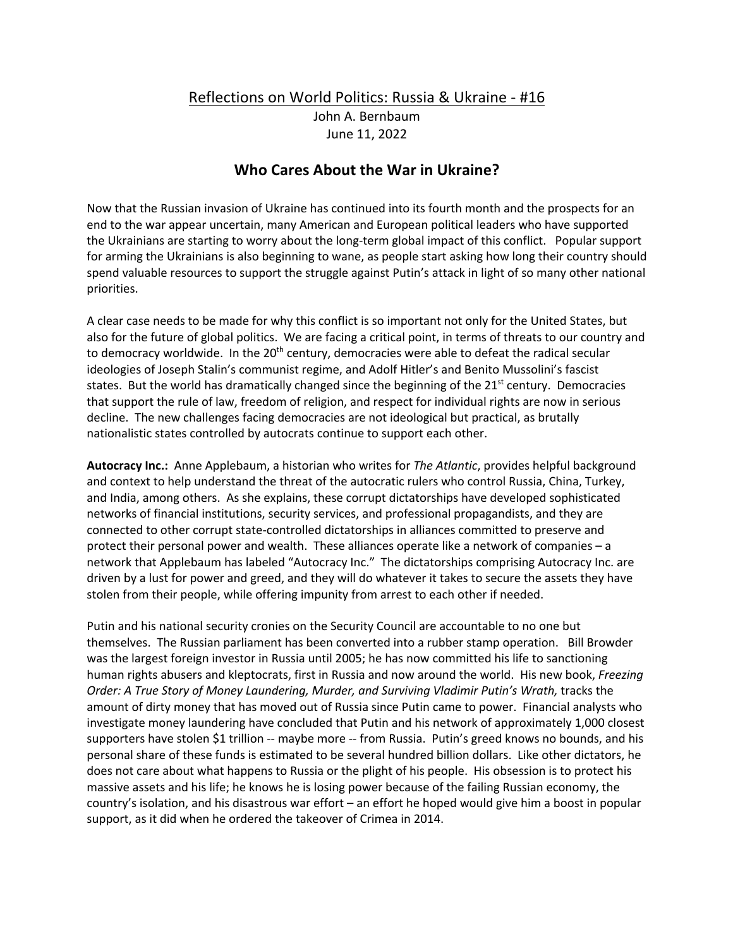## Reflections on World Politics: Russia & Ukraine - #16 John A. Bernbaum June 11, 2022

## **Who Cares About the War in Ukraine?**

Now that the Russian invasion of Ukraine has continued into its fourth month and the prospects for an end to the war appear uncertain, many American and European political leaders who have supported the Ukrainians are starting to worry about the long-term global impact of this conflict. Popular support for arming the Ukrainians is also beginning to wane, as people start asking how long their country should spend valuable resources to support the struggle against Putin's attack in light of so many other national priorities.

A clear case needs to be made for why this conflict is so important not only for the United States, but also for the future of global politics. We are facing a critical point, in terms of threats to our country and to democracy worldwide. In the 20<sup>th</sup> century, democracies were able to defeat the radical secular ideologies of Joseph Stalin's communist regime, and Adolf Hitler's and Benito Mussolini's fascist states. But the world has dramatically changed since the beginning of the  $21<sup>st</sup>$  century. Democracies that support the rule of law, freedom of religion, and respect for individual rights are now in serious decline. The new challenges facing democracies are not ideological but practical, as brutally nationalistic states controlled by autocrats continue to support each other.

**Autocracy Inc.:** Anne Applebaum, a historian who writes for *The Atlantic*, provides helpful background and context to help understand the threat of the autocratic rulers who control Russia, China, Turkey, and India, among others. As she explains, these corrupt dictatorships have developed sophisticated networks of financial institutions, security services, and professional propagandists, and they are connected to other corrupt state-controlled dictatorships in alliances committed to preserve and protect their personal power and wealth. These alliances operate like a network of companies – a network that Applebaum has labeled "Autocracy Inc." The dictatorships comprising Autocracy Inc. are driven by a lust for power and greed, and they will do whatever it takes to secure the assets they have stolen from their people, while offering impunity from arrest to each other if needed.

Putin and his national security cronies on the Security Council are accountable to no one but themselves. The Russian parliament has been converted into a rubber stamp operation. Bill Browder was the largest foreign investor in Russia until 2005; he has now committed his life to sanctioning human rights abusers and kleptocrats, first in Russia and now around the world. His new book, *Freezing Order: A True Story of Money Laundering, Murder, and Surviving Vladimir Putin's Wrath,* tracks the amount of dirty money that has moved out of Russia since Putin came to power. Financial analysts who investigate money laundering have concluded that Putin and his network of approximately 1,000 closest supporters have stolen \$1 trillion -- maybe more -- from Russia. Putin's greed knows no bounds, and his personal share of these funds is estimated to be several hundred billion dollars. Like other dictators, he does not care about what happens to Russia or the plight of his people. His obsession is to protect his massive assets and his life; he knows he is losing power because of the failing Russian economy, the country's isolation, and his disastrous war effort – an effort he hoped would give him a boost in popular support, as it did when he ordered the takeover of Crimea in 2014.